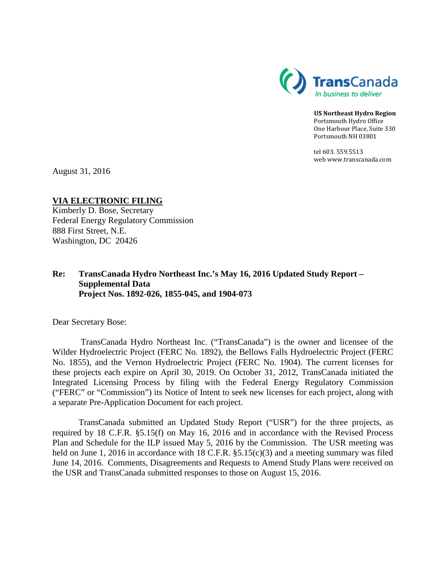

**US Northeast Hydro Region** Portsmouth Hydro Office One Harbour Place, Suite 330 Portsmouth NH 03801

tel 603. 559.5513 web www.transcanada.com

August 31, 2016

**VIA ELECTRONIC FILING** Kimberly D. Bose, Secretary Federal Energy Regulatory Commission 888 First Street, N.E.

# **Re: TransCanada Hydro Northeast Inc.'s May 16, 2016 Updated Study Report – Supplemental Data Project Nos. 1892-026, 1855-045, and 1904-073**

Dear Secretary Bose:

Washington, DC 20426

TransCanada Hydro Northeast Inc. ("TransCanada") is the owner and licensee of the Wilder Hydroelectric Project (FERC No. 1892), the Bellows Falls Hydroelectric Project (FERC No. 1855), and the Vernon Hydroelectric Project (FERC No. 1904). The current licenses for these projects each expire on April 30, 2019. On October 31, 2012, TransCanada initiated the Integrated Licensing Process by filing with the Federal Energy Regulatory Commission ("FERC" or "Commission") its Notice of Intent to seek new licenses for each project, along with a separate Pre-Application Document for each project.

TransCanada submitted an Updated Study Report ("USR") for the three projects, as required by 18 C.F.R. §5.15(f) on May 16, 2016 and in accordance with the Revised Process Plan and Schedule for the ILP issued May 5, 2016 by the Commission. The USR meeting was held on June 1, 2016 in accordance with 18 C.F.R.  $\S 5.15(c)(3)$  and a meeting summary was filed June 14, 2016. Comments, Disagreements and Requests to Amend Study Plans were received on the USR and TransCanada submitted responses to those on August 15, 2016.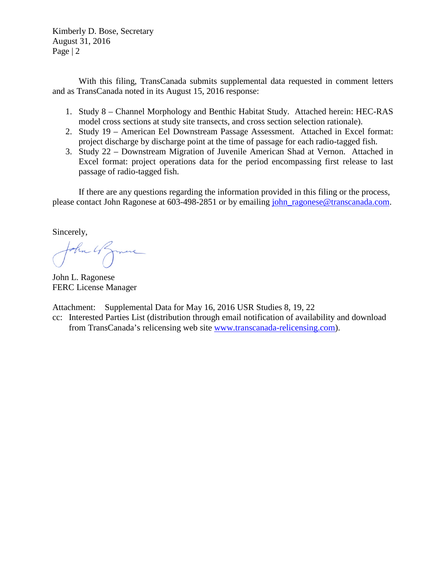Kimberly D. Bose, Secretary August 31, 2016 Page | 2

With this filing, TransCanada submits supplemental data requested in comment letters and as TransCanada noted in its August 15, 2016 response:

- 1. Study 8 Channel Morphology and Benthic Habitat Study. Attached herein: HEC-RAS model cross sections at study site transects, and cross section selection rationale).
- 2. Study 19 American Eel Downstream Passage Assessment. Attached in Excel format: project discharge by discharge point at the time of passage for each radio-tagged fish.
- 3. Study 22 Downstream Migration of Juvenile American Shad at Vernon. Attached in Excel format: project operations data for the period encompassing first release to last passage of radio-tagged fish.

If there are any questions regarding the information provided in this filing or the process, please contact John Ragonese at 603-498-2851 or by emailing [john\\_ragonese@transcanada.com.](mailto:john_ragonese@transcanada.com)

Sincerely,

John 4 Jame

John L. Ragonese FERC License Manager

Attachment: Supplemental Data for May 16, 2016 USR Studies 8, 19, 22

cc: Interested Parties List (distribution through email notification of availability and download from TransCanada's relicensing web site [www.transcanada-relicensing.com\)](http://www.transcanada-relicensing.com/).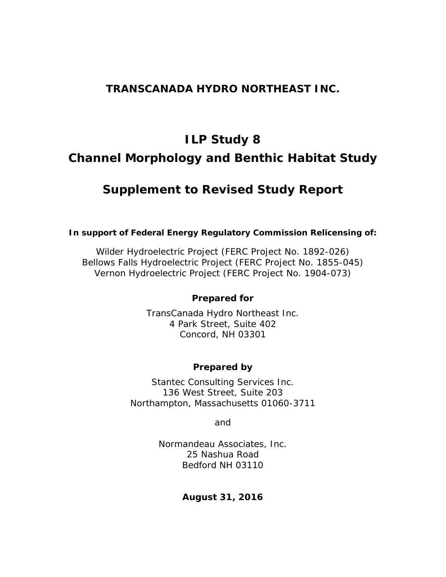# **TRANSCANADA HYDRO NORTHEAST INC.**

# **ILP Study 8 Channel Morphology and Benthic Habitat Study**

# *Supplement to Revised Study Report*

# **In support of Federal Energy Regulatory Commission Relicensing of:**

Wilder Hydroelectric Project (FERC Project No. 1892-026) Bellows Falls Hydroelectric Project (FERC Project No. 1855-045) Vernon Hydroelectric Project (FERC Project No. 1904-073)

# *Prepared for*

TransCanada Hydro Northeast Inc. 4 Park Street, Suite 402 Concord, NH 03301

# *Prepared by*

Stantec Consulting Services Inc. 136 West Street, Suite 203 Northampton, Massachusetts 01060-3711

and

Normandeau Associates, Inc. 25 Nashua Road Bedford NH 03110

**August 31, 2016**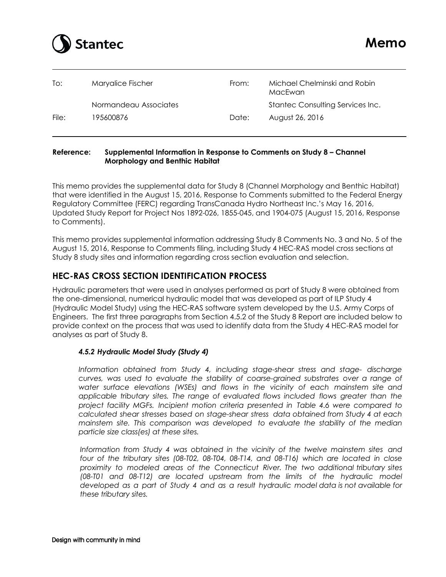

| To:   | Maryalice Fischer     | From: | Michael Chelminski and Robin<br>MacEwan |
|-------|-----------------------|-------|-----------------------------------------|
|       | Normandeau Associates |       | Stantec Consulting Services Inc.        |
| File: | 195600876             | Date: | August 26, 2016                         |

#### **Reference: Supplemental Information in Response to Comments on Study 8 – Channel Morphology and Benthic Habitat**

This memo provides the supplemental data for Study 8 (Channel Morphology and Benthic Habitat) that were identified in the August 15, 2016, Response to Comments submitted to the Federal Energy Regulatory Committee (FERC) regarding TransCanada Hydro Northeast Inc.'s May 16, 2016, Updated Study Report for Project Nos 1892-026, 1855-045, and 1904-075 (August 15, 2016, Response to Comments).

This memo provides supplemental information addressing Study 8 Comments No. 3 and No. 5 of the August 15, 2016, Response to Comments filing, including Study 4 HEC-RAS model cross sections at Study 8 study sites and information regarding cross section evaluation and selection.

# **HEC-RAS CROSS SECTION IDENTIFICATION PROCESS**

Hydraulic parameters that were used in analyses performed as part of Study 8 were obtained from the one-dimensional, numerical hydraulic model that was developed as part of ILP Study 4 (Hydraulic Model Study) using the HEC-RAS software system developed by the U.S. Army Corps of Engineers. The first three paragraphs from Section 4.5.2 of the Study 8 Report are included below to provide context on the process that was used to identify data from the Study 4 HEC-RAS model for analyses as part of Study 8.

#### *4.5.2 Hydraulic Model Study (Study 4)*

*Information obtained from Study 4, including stage-shear stress and stage- discharge curves, was used to evaluate the stability of coarse-grained substrates over a range of water surface elevations (WSEs) and flows in the vicinity of each mainstem site and applicable tributary sites. The range of evaluated flows included flows greater than the project facility MGFs. Incipient motion criteria presented in Table 4.6 were compared to calculated shear stresses based on stage-shear stress data obtained from Study 4 at each mainstem site. This comparison was developed to evaluate the stability of the median particle size class(es) at these sites.* 

*Information from Study 4 was obtained in the vicinity of the twelve mainstem sites and four of the tributary sites (08-T02, 08-T04, 08-T14, and 08-T16) which are located in close proximity to modeled areas of the Connecticut River. The two additional tributary sites (08-T01 and 08-T12) are located upstream from the limits of the hydraulic model developed as a part of Study 4 and as a result hydraulic model data is not available for these tributary sites.*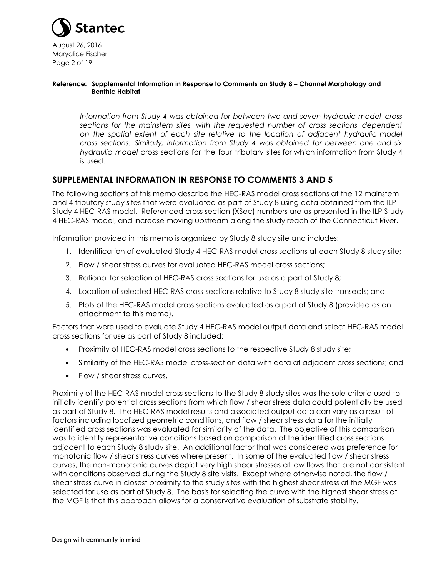

August 26, 2016 Maryalice Fischer Page 2 of 19

#### **Reference: Supplemental Information in Response to Comments on Study 8 – Channel Morphology and Benthic Habitat**

*Information from Study 4 was obtained for between two and seven hydraulic model cross sections for the mainstem sites, with the requested number of cross sections dependent on the spatial extent of each site relative to the location of adjacent hydraulic model cross sections. Similarly, information from Study 4 was obtained for between one and six hydraulic model c*ross sections for the four tributary sites for which information from Study 4 is used.

# **SUPPLEMENTAL INFORMATION IN RESPONSE TO COMMENTS 3 AND 5**

The following sections of this memo describe the HEC-RAS model cross sections at the 12 mainstem and 4 tributary study sites that were evaluated as part of Study 8 using data obtained from the ILP Study 4 HEC-RAS model. Referenced cross section (XSec) numbers are as presented in the ILP Study 4 HEC-RAS model, and increase moving upstream along the study reach of the Connecticut River.

Information provided in this memo is organized by Study 8 study site and includes:

- 1. Identification of evaluated Study 4 HEC-RAS model cross sections at each Study 8 study site;
- 2. Flow / shear stress curves for evaluated HEC-RAS model cross sections;
- 3. Rational for selection of HEC-RAS cross sections for use as a part of Study 8;
- 4. Location of selected HEC-RAS cross-sections relative to Study 8 study site transects; and
- 5. Plots of the HEC-RAS model cross sections evaluated as a part of Study 8 (provided as an attachment to this memo).

Factors that were used to evaluate Study 4 HEC-RAS model output data and select HEC-RAS model cross sections for use as part of Study 8 included:

- Proximity of HEC-RAS model cross sections to the respective Study 8 study site;
- Similarity of the HEC-RAS model cross-section data with data at adjacent cross sections; and
- Flow / shear stress curves.

Proximity of the HEC-RAS model cross sections to the Study 8 study sites was the sole criteria used to initially identify potential cross sections from which flow / shear stress data could potentially be used as part of Study 8. The HEC-RAS model results and associated output data can vary as a result of factors including localized geometric conditions, and flow / shear stress data for the initially identified cross sections was evaluated for similarity of the data. The objective of this comparison was to identify representative conditions based on comparison of the identified cross sections adjacent to each Study 8 study site. An additional factor that was considered was preference for monotonic flow / shear stress curves where present. In some of the evaluated flow / shear stress curves, the non-monotonic curves depict very high shear stresses at low flows that are not consistent with conditions observed during the Study 8 site visits. Except where otherwise noted, the flow / shear stress curve in closest proximity to the study sites with the highest shear stress at the MGF was selected for use as part of Study 8. The basis for selecting the curve with the highest shear stress at the MGF is that this approach allows for a conservative evaluation of substrate stability.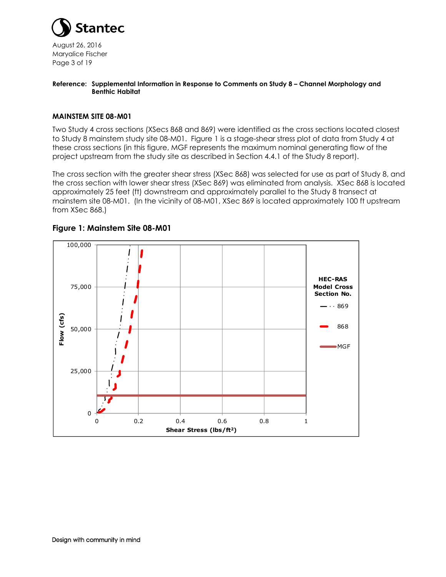

August 26, 2016 Maryalice Fischer Page 3 of 19

#### **Reference: Supplemental Information in Response to Comments on Study 8 – Channel Morphology and Benthic Habitat**

#### **MAINSTEM SITE 08-M01**

Two Study 4 cross sections (XSecs 868 and 869) were identified as the cross sections located closest to Study 8 mainstem study site 08-M01. Figure 1 is a stage-shear stress plot of data from Study 4 at these cross sections (in this figure, MGF represents the maximum nominal generating flow of the project upstream from the study site as described in Section 4.4.1 of the Study 8 report).

The cross section with the greater shear stress (XSec 868) was selected for use as part of Study 8, and the cross section with lower shear stress (XSec 869) was eliminated from analysis. XSec 868 is located approximately 25 feet (ft) downstream and approximately parallel to the Study 8 transect at mainstem site 08-M01. (In the vicinity of 08-M01, XSec 869 is located approximately 100 ft upstream from XSec 868.)



# **Figure 1: Mainstem Site 08-M01**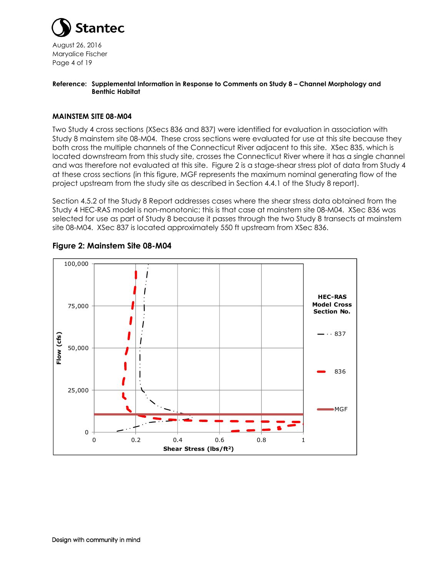

August 26, 2016 Maryalice Fischer Page 4 of 19

#### **Reference: Supplemental Information in Response to Comments on Study 8 – Channel Morphology and Benthic Habitat**

#### **MAINSTEM SITE 08-M04**

Two Study 4 cross sections (XSecs 836 and 837) were identified for evaluation in association with Study 8 mainstem site 08-M04. These cross sections were evaluated for use at this site because they both cross the multiple channels of the Connecticut River adjacent to this site. XSec 835, which is located downstream from this study site, crosses the Connecticut River where it has a single channel and was therefore not evaluated at this site. Figure 2 is a stage-shear stress plot of data from Study 4 at these cross sections (in this figure, MGF represents the maximum nominal generating flow of the project upstream from the study site as described in Section 4.4.1 of the Study 8 report).

Section 4.5.2 of the Study 8 Report addresses cases where the shear stress data obtained from the Study 4 HEC-RAS model is non-monotonic; this is that case at mainstem site 08-M04. XSec 836 was selected for use as part of Study 8 because it passes through the two Study 8 transects at mainstem site 08-M04. XSec 837 is located approximately 550 ft upstream from XSec 836.



### **Figure 2: Mainstem Site 08-M04**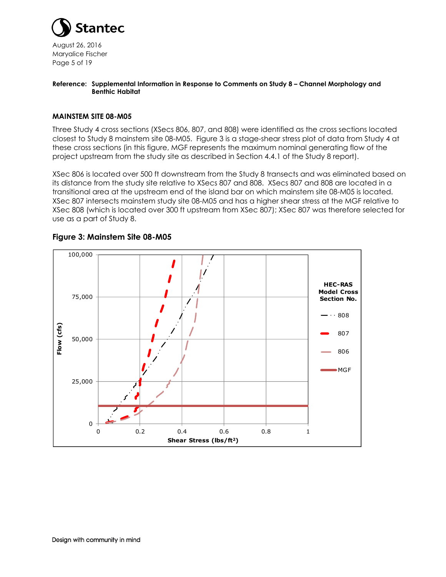

August 26, 2016 Maryalice Fischer Page 5 of 19

#### **Reference: Supplemental Information in Response to Comments on Study 8 – Channel Morphology and Benthic Habitat**

#### **MAINSTEM SITE 08-M05**

Three Study 4 cross sections (XSecs 806, 807, and 808) were identified as the cross sections located closest to Study 8 mainstem site 08-M05. Figure 3 is a stage-shear stress plot of data from Study 4 at these cross sections (in this figure, MGF represents the maximum nominal generating flow of the project upstream from the study site as described in Section 4.4.1 of the Study 8 report).

XSec 806 is located over 500 ft downstream from the Study 8 transects and was eliminated based on its distance from the study site relative to XSecs 807 and 808. XSecs 807 and 808 are located in a transitional area at the upstream end of the island bar on which mainstem site 08-M05 is located. XSec 807 intersects mainstem study site 08-M05 and has a higher shear stress at the MGF relative to XSec 808 (which is located over 300 ft upstream from XSec 807); XSec 807 was therefore selected for use as a part of Study 8.



#### **Figure 3: Mainstem Site 08-M05**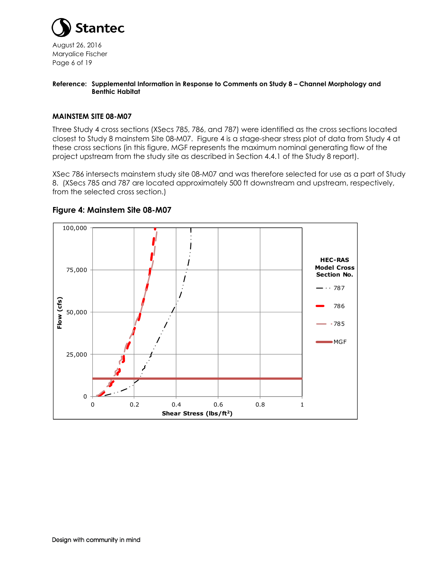

August 26, 2016 Maryalice Fischer Page 6 of 19

#### **Reference: Supplemental Information in Response to Comments on Study 8 – Channel Morphology and Benthic Habitat**

#### **MAINSTEM SITE 08-M07**

Three Study 4 cross sections (XSecs 785, 786, and 787) were identified as the cross sections located closest to Study 8 mainstem Site 08-M07. Figure 4 is a stage-shear stress plot of data from Study 4 at these cross sections (in this figure, MGF represents the maximum nominal generating flow of the project upstream from the study site as described in Section 4.4.1 of the Study 8 report).

XSec 786 intersects mainstem study site 08-M07 and was therefore selected for use as a part of Study 8. (XSecs 785 and 787 are located approximately 500 ft downstream and upstream, respectively, from the selected cross section.)



#### **Figure 4: Mainstem Site 08-M07**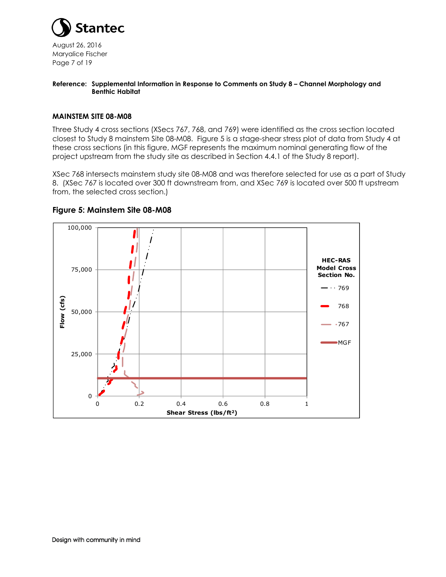

August 26, 2016 Maryalice Fischer Page 7 of 19

#### **Reference: Supplemental Information in Response to Comments on Study 8 – Channel Morphology and Benthic Habitat**

#### **MAINSTEM SITE 08-M08**

Three Study 4 cross sections (XSecs 767, 768, and 769) were identified as the cross section located closest to Study 8 mainstem Site 08-M08. Figure 5 is a stage-shear stress plot of data from Study 4 at these cross sections (in this figure, MGF represents the maximum nominal generating flow of the project upstream from the study site as described in Section 4.4.1 of the Study 8 report).

XSec 768 intersects mainstem study site 08-M08 and was therefore selected for use as a part of Study 8. (XSec 767 is located over 300 ft downstream from, and XSec 769 is located over 500 ft upstream from, the selected cross section.)



#### **Figure 5: Mainstem Site 08-M08**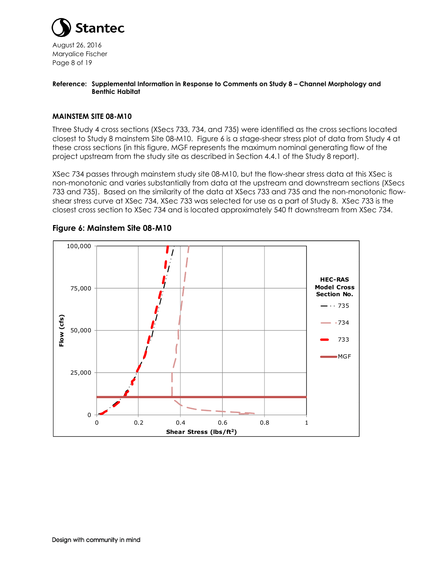

August 26, 2016 Maryalice Fischer Page 8 of 19

#### **Reference: Supplemental Information in Response to Comments on Study 8 – Channel Morphology and Benthic Habitat**

#### **MAINSTEM SITE 08-M10**

Three Study 4 cross sections (XSecs 733, 734, and 735) were identified as the cross sections located closest to Study 8 mainstem Site 08-M10. Figure 6 is a stage-shear stress plot of data from Study 4 at these cross sections (in this figure, MGF represents the maximum nominal generating flow of the project upstream from the study site as described in Section 4.4.1 of the Study 8 report).

XSec 734 passes through mainstem study site 08-M10, but the flow-shear stress data at this XSec is non-monotonic and varies substantially from data at the upstream and downstream sections (XSecs 733 and 735). Based on the similarity of the data at XSecs 733 and 735 and the non-monotonic flowshear stress curve at XSec 734, XSec 733 was selected for use as a part of Study 8. XSec 733 is the closest cross section to XSec 734 and is located approximately 540 ft downstream from XSec 734.



#### **Figure 6: Mainstem Site 08-M10**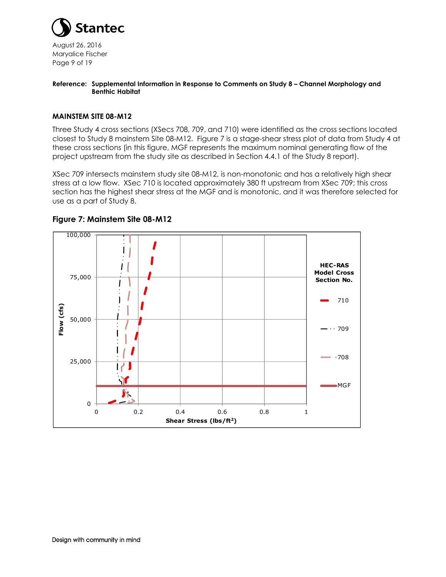

August 26, 2016 Maryalice Fischer Page 9 of 19

#### **Reference: Supplemental Information in Response to Comments on Study 8 – Channel Morphology and Benthic Habitat**

#### **MAINSTEM SITE 08-M12**

Three Study 4 cross sections (XSecs 708, 709, and 710) were identified as the cross sections located closest to Study 8 mainstem Site 08-M12. Figure 7 is a stage-shear stress plot of data from Study 4 at these cross sections (in this figure, MGF represents the maximum nominal generating flow of the project upstream from the study site as described in Section 4.4.1 of the Study 8 report).

XSec 709 intersects mainstem study site 08-M12, is non-monotonic and has a relatively high shear stress at a low flow. XSec 710 is located approximately 380 ft upstream from XSec 709; this cross section has the highest shear stress at the MGF and is monotonic, and it was therefore selected for use as a part of Study 8.



#### **Figure 7: Mainstem Site 08-M12**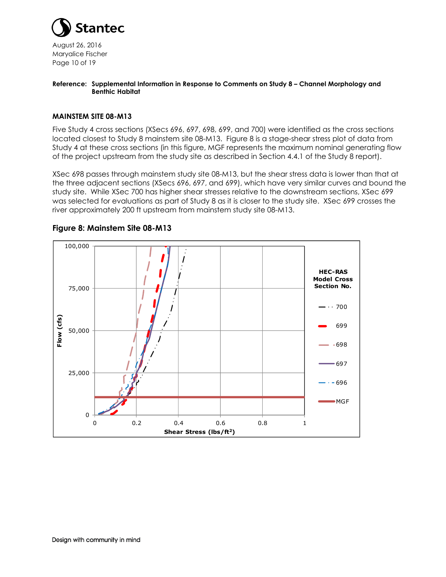

August 26, 2016 Maryalice Fischer Page 10 of 19

#### **Reference: Supplemental Information in Response to Comments on Study 8 – Channel Morphology and Benthic Habitat**

#### **MAINSTEM SITE 08-M13**

Five Study 4 cross sections (XSecs 696, 697, 698, 699, and 700) were identified as the cross sections located closest to Study 8 mainstem site 08-M13. Figure 8 is a stage-shear stress plot of data from Study 4 at these cross sections (in this figure, MGF represents the maximum nominal generating flow of the project upstream from the study site as described in Section 4.4.1 of the Study 8 report).

XSec 698 passes through mainstem study site 08-M13, but the shear stress data is lower than that at the three adjacent sections (XSecs 696, 697, and 699), which have very similar curves and bound the study site. While XSec 700 has higher shear stresses relative to the downstream sections, XSec 699 was selected for evaluations as part of Study 8 as it is closer to the study site. XSec 699 crosses the river approximately 200 ft upstream from mainstem study site 08-M13.



#### **Figure 8: Mainstem Site 08-M13**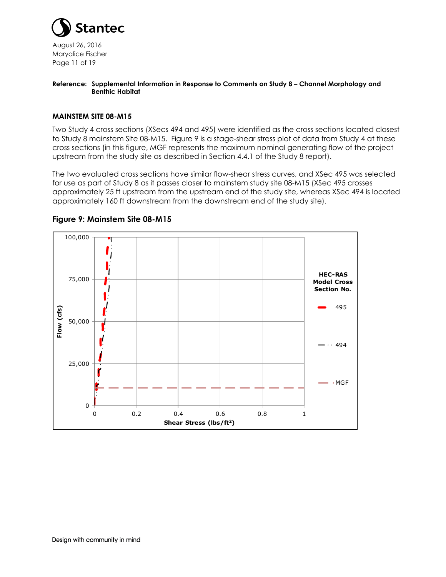

August 26, 2016 Maryalice Fischer Page 11 of 19

#### **Reference: Supplemental Information in Response to Comments on Study 8 – Channel Morphology and Benthic Habitat**

#### **MAINSTEM SITE 08-M15**

Two Study 4 cross sections (XSecs 494 and 495) were identified as the cross sections located closest to Study 8 mainstem Site 08-M15. Figure 9 is a stage-shear stress plot of data from Study 4 at these cross sections (in this figure, MGF represents the maximum nominal generating flow of the project upstream from the study site as described in Section 4.4.1 of the Study 8 report).

The two evaluated cross sections have similar flow-shear stress curves, and XSec 495 was selected for use as part of Study 8 as it passes closer to mainstem study site 08-M15 (XSec 495 crosses approximately 25 ft upstream from the upstream end of the study site, whereas XSec 494 is located approximately 160 ft downstream from the downstream end of the study site).



#### **Figure 9: Mainstem Site 08-M15**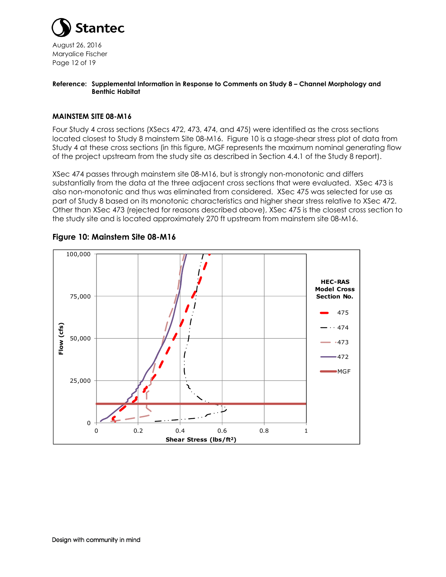

August 26, 2016 Maryalice Fischer Page 12 of 19

#### **Reference: Supplemental Information in Response to Comments on Study 8 – Channel Morphology and Benthic Habitat**

#### **MAINSTEM SITE 08-M16**

Four Study 4 cross sections (XSecs 472, 473, 474, and 475) were identified as the cross sections located closest to Study 8 mainstem Site 08-M16. Figure 10 is a stage-shear stress plot of data from Study 4 at these cross sections (in this figure, MGF represents the maximum nominal generating flow of the project upstream from the study site as described in Section 4.4.1 of the Study 8 report).

XSec 474 passes through mainstem site 08-M16, but is strongly non-monotonic and differs substantially from the data at the three adjacent cross sections that were evaluated. XSec 473 is also non-monotonic and thus was eliminated from considered. XSec 475 was selected for use as part of Study 8 based on its monotonic characteristics and higher shear stress relative to XSec 472. Other than XSec 473 (rejected for reasons described above), XSec 475 is the closest cross section to the study site and is located approximately 270 ft upstream from mainstem site 08-M16.



#### **Figure 10: Mainstem Site 08-M16**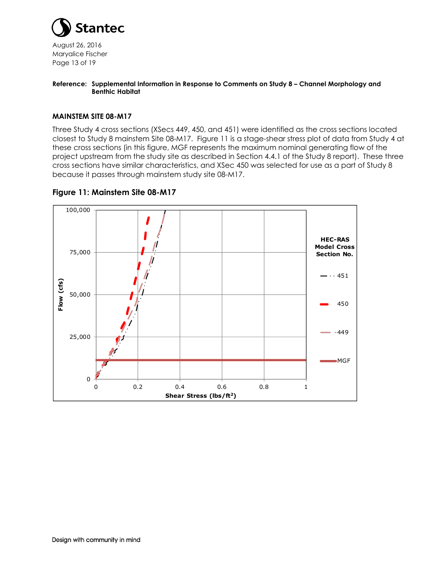

August 26, 2016 Maryalice Fischer Page 13 of 19

#### **Reference: Supplemental Information in Response to Comments on Study 8 – Channel Morphology and Benthic Habitat**

#### **MAINSTEM SITE 08-M17**

Three Study 4 cross sections (XSecs 449, 450, and 451) were identified as the cross sections located closest to Study 8 mainstem Site 08-M17. Figure 11 is a stage-shear stress plot of data from Study 4 at these cross sections (in this figure, MGF represents the maximum nominal generating flow of the project upstream from the study site as described in Section 4.4.1 of the Study 8 report). These three cross sections have similar characteristics, and XSec 450 was selected for use as a part of Study 8 because it passes through mainstem study site 08-M17.



#### **Figure 11: Mainstem Site 08-M17**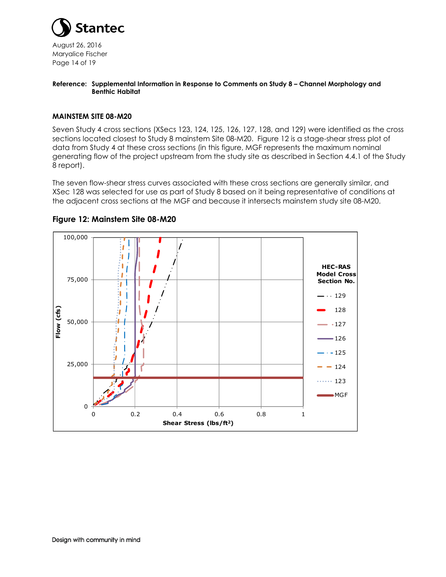

August 26, 2016 Maryalice Fischer Page 14 of 19

#### **Reference: Supplemental Information in Response to Comments on Study 8 – Channel Morphology and Benthic Habitat**

#### **MAINSTEM SITE 08-M20**

Seven Study 4 cross sections (XSecs 123, 124, 125, 126, 127, 128, and 129) were identified as the cross sections located closest to Study 8 mainstem Site 08-M20. Figure 12 is a stage-shear stress plot of data from Study 4 at these cross sections (in this figure, MGF represents the maximum nominal generating flow of the project upstream from the study site as described in Section 4.4.1 of the Study 8 report).

The seven flow-shear stress curves associated with these cross sections are generally similar, and XSec 128 was selected for use as part of Study 8 based on it being representative of conditions at the adjacent cross sections at the MGF and because it intersects mainstem study site 08-M20.



#### **Figure 12: Mainstem Site 08-M20**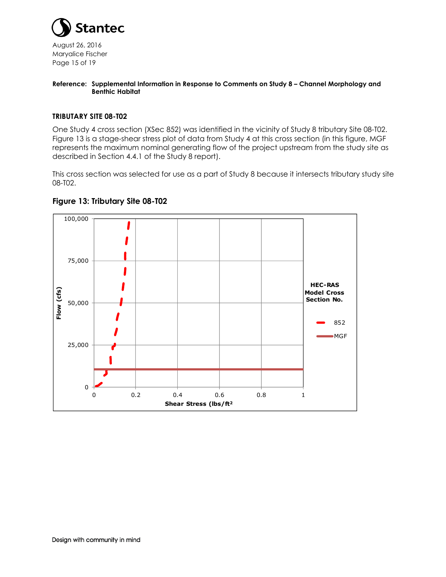

August 26, 2016 Maryalice Fischer Page 15 of 19

#### **Reference: Supplemental Information in Response to Comments on Study 8 – Channel Morphology and Benthic Habitat**

#### **TRIBUTARY SITE 08-T02**

One Study 4 cross section (XSec 852) was identified in the vicinity of Study 8 tributary Site 08-T02. Figure 13 is a stage-shear stress plot of data from Study 4 at this cross section (in this figure, MGF represents the maximum nominal generating flow of the project upstream from the study site as described in Section 4.4.1 of the Study 8 report).

This cross section was selected for use as a part of Study 8 because it intersects tributary study site 08-T02.



# **Figure 13: Tributary Site 08-T02**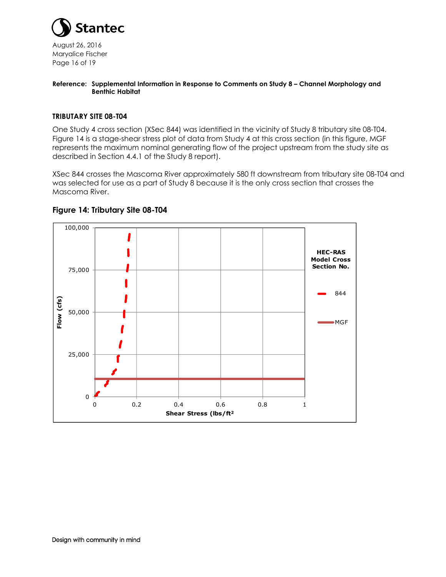

August 26, 2016 Maryalice Fischer Page 16 of 19

#### **Reference: Supplemental Information in Response to Comments on Study 8 – Channel Morphology and Benthic Habitat**

#### **TRIBUTARY SITE 08-T04**

One Study 4 cross section (XSec 844) was identified in the vicinity of Study 8 tributary site 08-T04. Figure 14 is a stage-shear stress plot of data from Study 4 at this cross section (in this figure, MGF represents the maximum nominal generating flow of the project upstream from the study site as described in Section 4.4.1 of the Study 8 report).

XSec 844 crosses the Mascoma River approximately 580 ft downstream from tributary site 08-T04 and was selected for use as a part of Study 8 because it is the only cross section that crosses the Mascoma River.



### **Figure 14: Tributary Site 08-T04**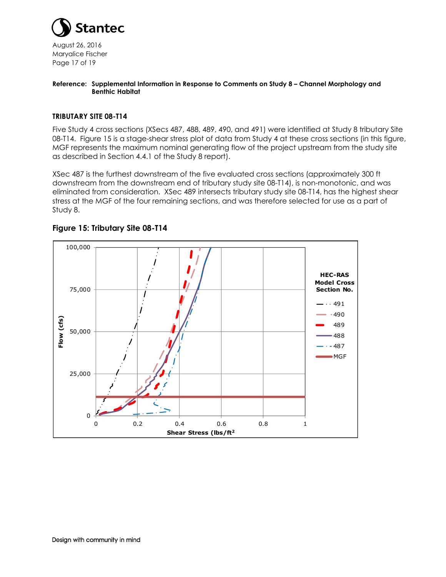

August 26, 2016 Maryalice Fischer Page 17 of 19

#### **Reference: Supplemental Information in Response to Comments on Study 8 – Channel Morphology and Benthic Habitat**

#### **TRIBUTARY SITE 08-T14**

Five Study 4 cross sections (XSecs 487, 488, 489, 490, and 491) were identified at Study 8 tributary Site 08-T14. Figure 15 is a stage-shear stress plot of data from Study 4 at these cross sections (in this figure, MGF represents the maximum nominal generating flow of the project upstream from the study site as described in Section 4.4.1 of the Study 8 report).

XSec 487 is the furthest downstream of the five evaluated cross sections (approximately 300 ft downstream from the downstream end of tributary study site 08-T14), is non-monotonic, and was eliminated from consideration. XSec 489 intersects tributary study site 08-T14, has the highest shear stress at the MGF of the four remaining sections, and was therefore selected for use as a part of Study 8.



# **Figure 15: Tributary Site 08-T14**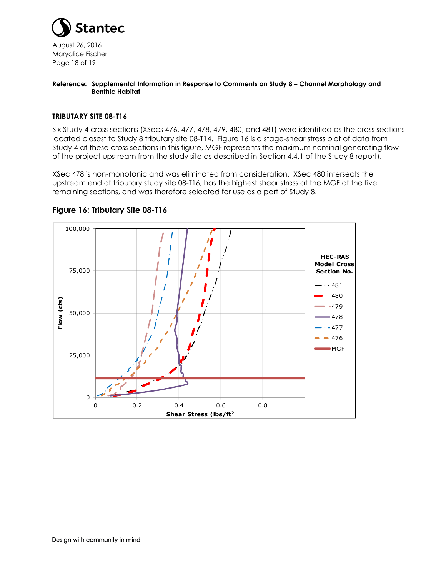

August 26, 2016 Maryalice Fischer Page 18 of 19

#### **Reference: Supplemental Information in Response to Comments on Study 8 – Channel Morphology and Benthic Habitat**

#### **TRIBUTARY SITE 08-T16**

Six Study 4 cross sections (XSecs 476, 477, 478, 479, 480, and 481) were identified as the cross sections located closest to Study 8 tributary site 08-T14. Figure 16 is a stage-shear stress plot of data from Study 4 at these cross sections in this figure, MGF represents the maximum nominal generating flow of the project upstream from the study site as described in Section 4.4.1 of the Study 8 report).

XSec 478 is non-monotonic and was eliminated from consideration. XSec 480 intersects the upstream end of tributary study site 08-T16, has the highest shear stress at the MGF of the five remaining sections, and was therefore selected for use as a part of Study 8.



#### **Figure 16: Tributary Site 08-T16**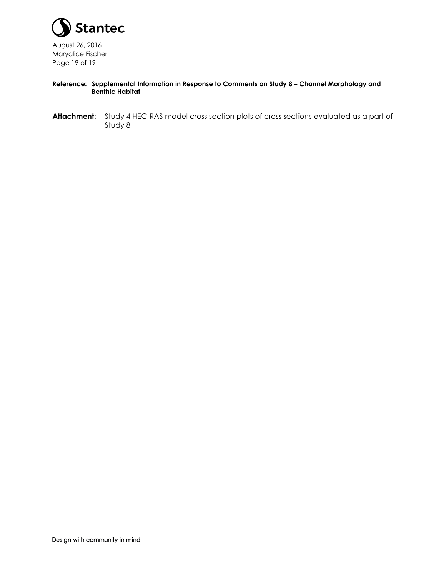

August 26, 2016 Maryalice Fischer Page 19 of 19

#### **Reference: Supplemental Information in Response to Comments on Study 8 – Channel Morphology and Benthic Habitat**

**Attachment**: Study 4 HEC-RAS model cross section plots of cross sections evaluated as a part of Study 8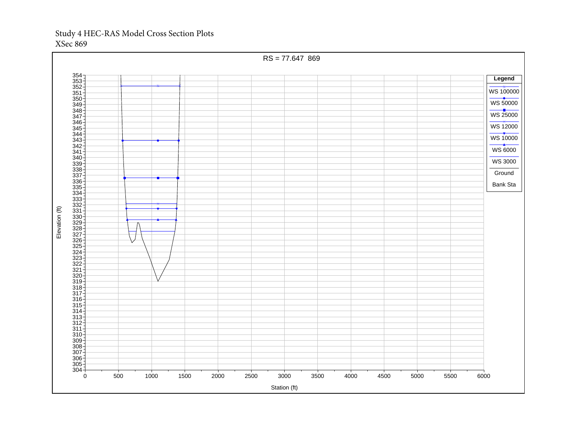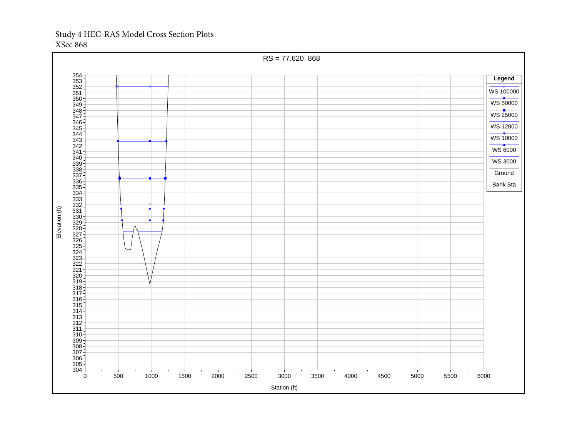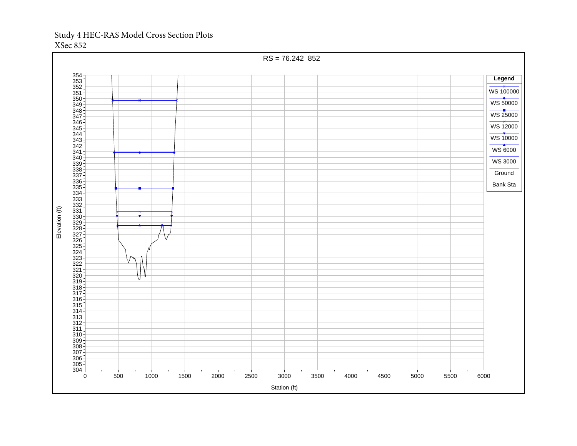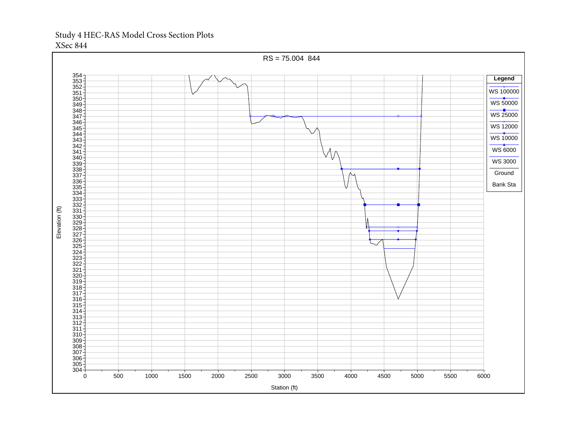

XSec 844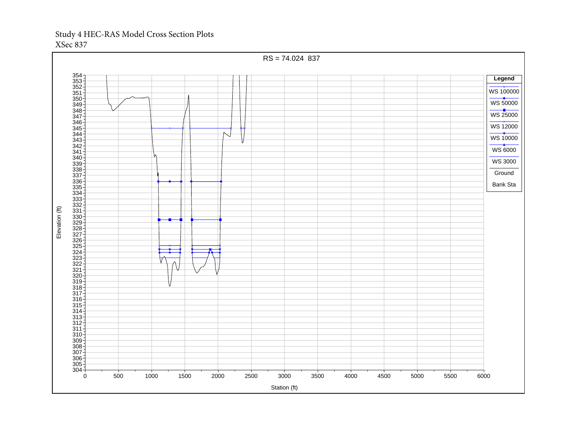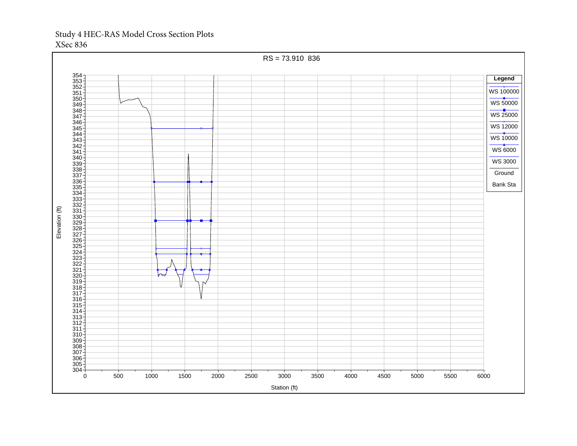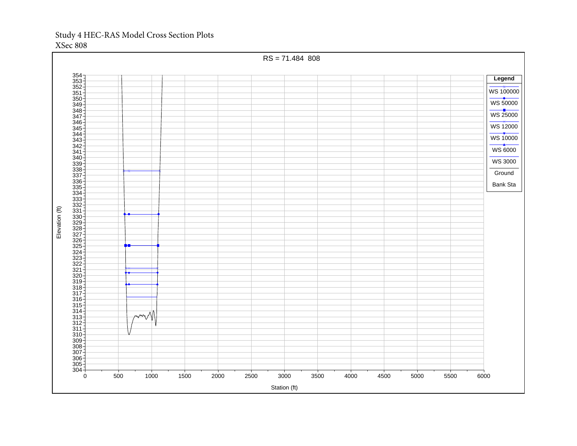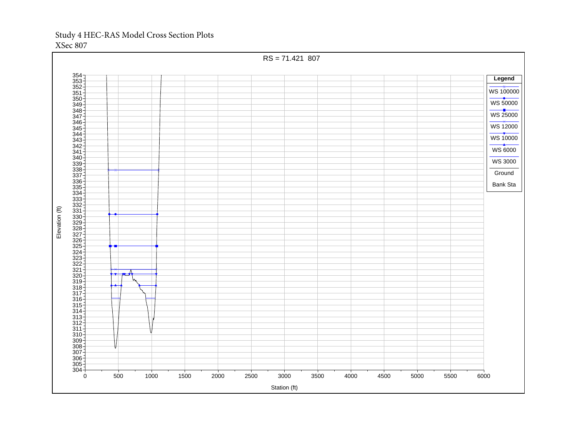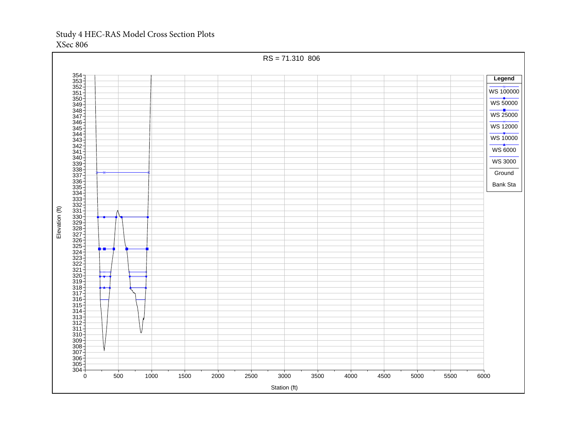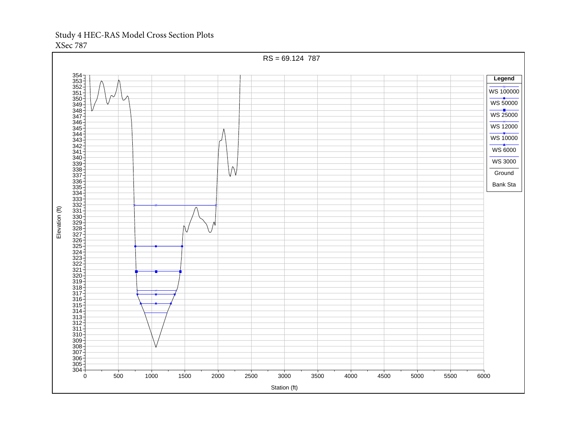XSec 787

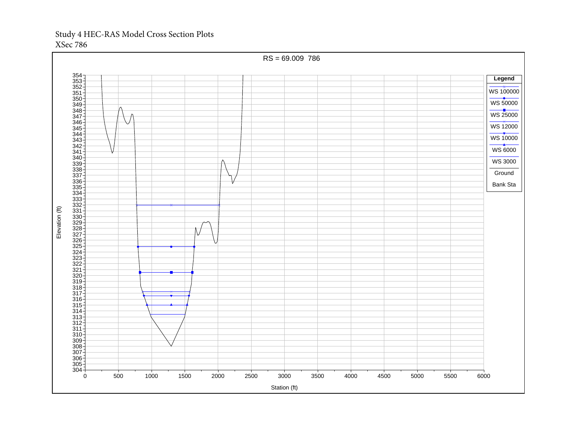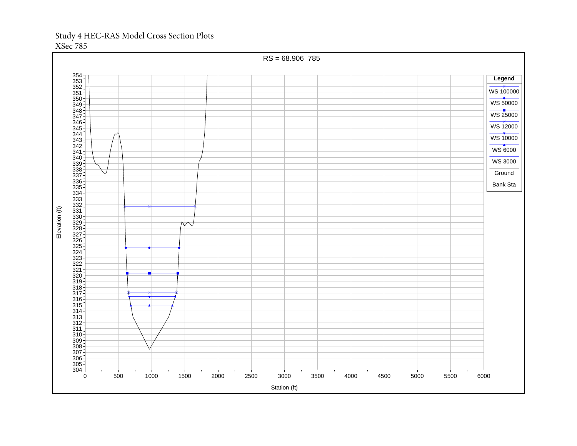XSec 785

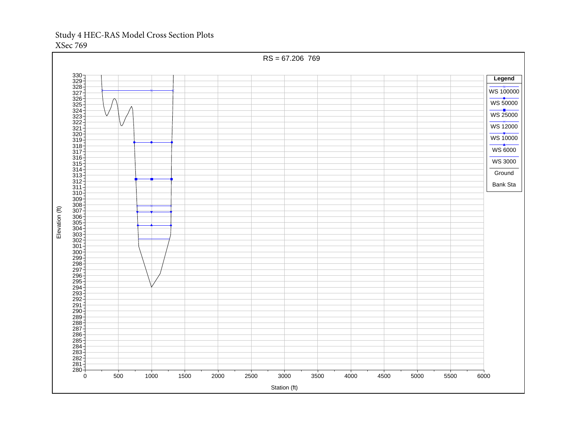RS = 67.206 769 **Legend** WS 100000 WS 50000 WS 25000 WS 12000 WS 10000 WS 6000 WS 3000 Ground Bank Sta Elevation (ft) Elevation (ft) 500 1000 1500 2000 2500 3000 3500 4000 4500 5000 5500 6000 Station (ft)

XSec 769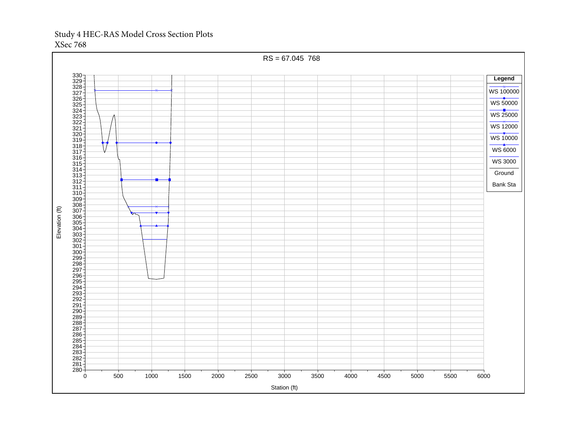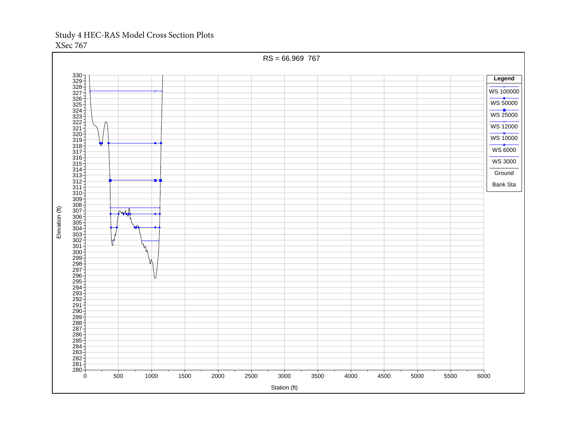

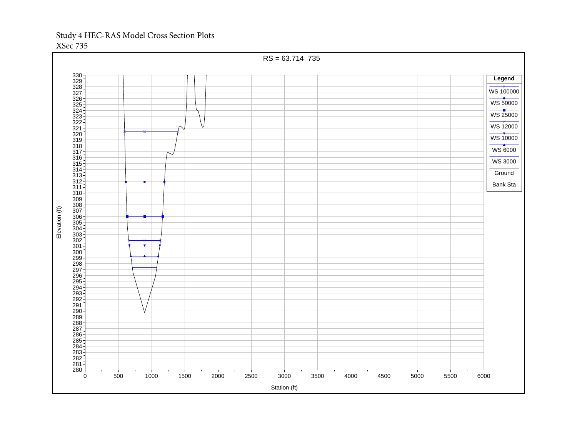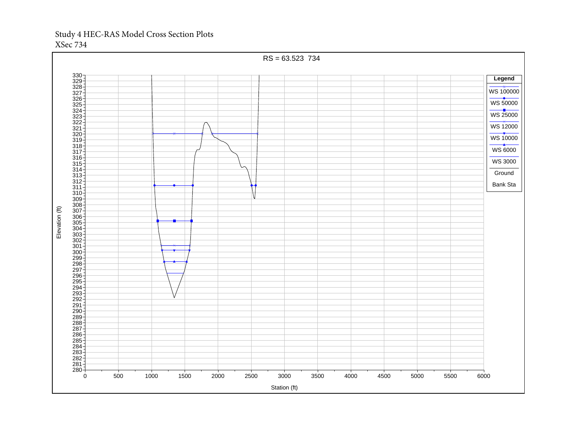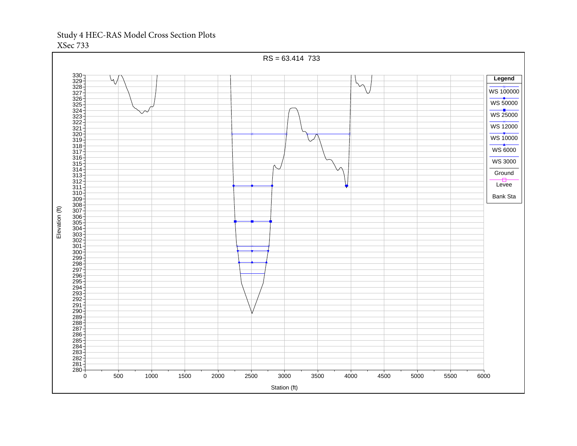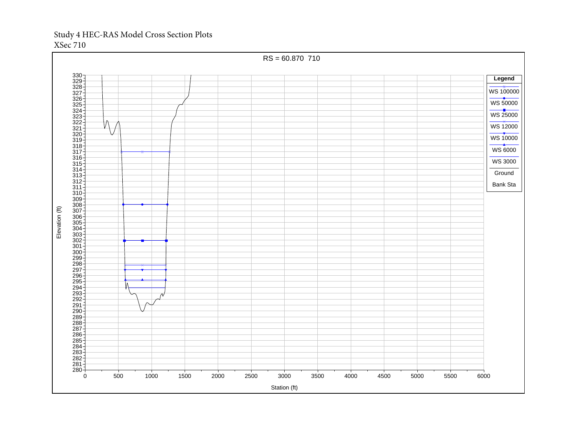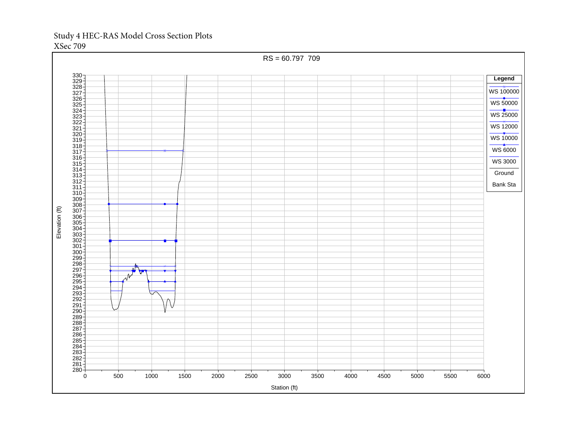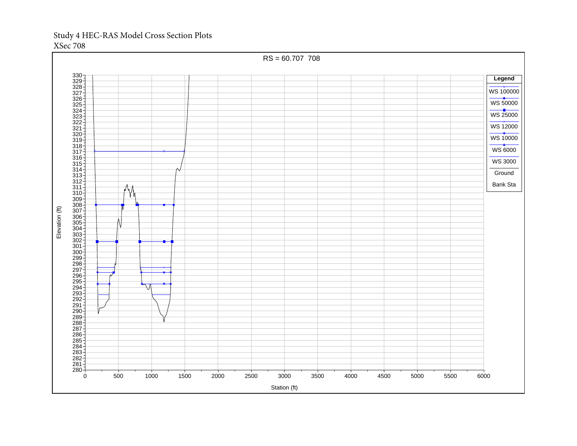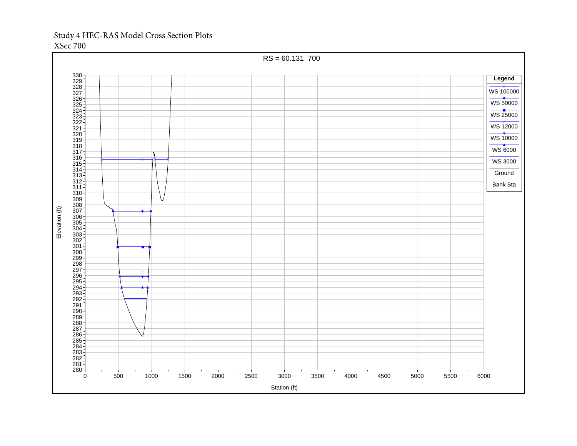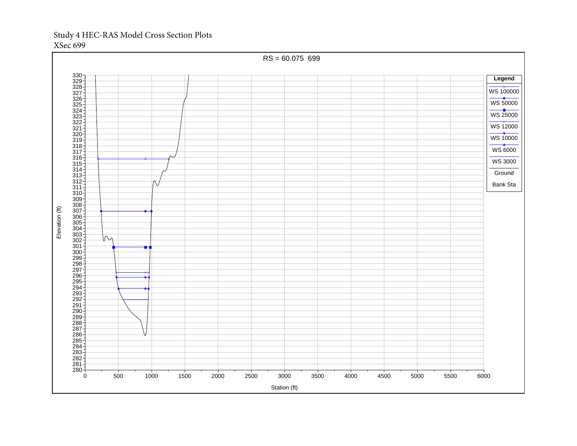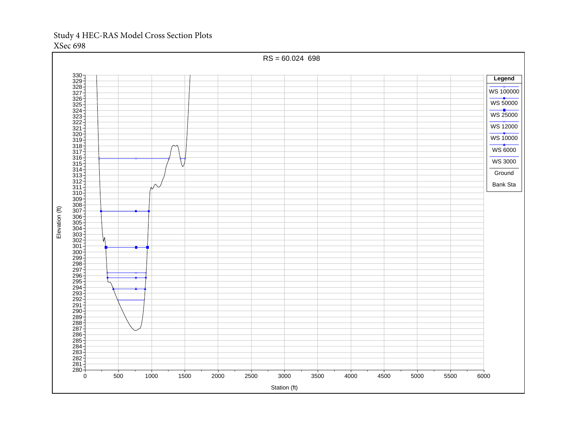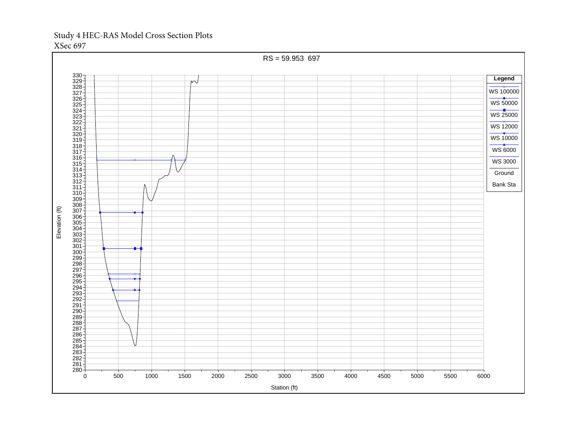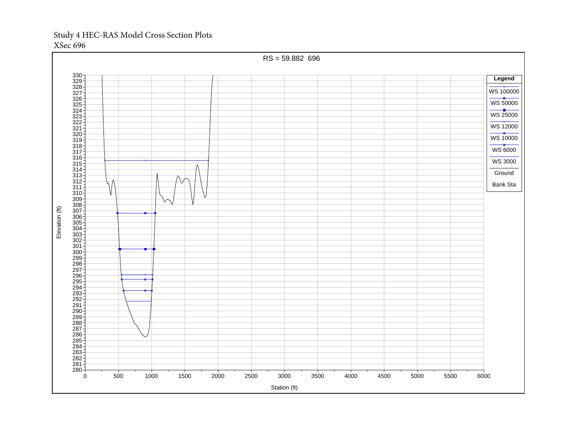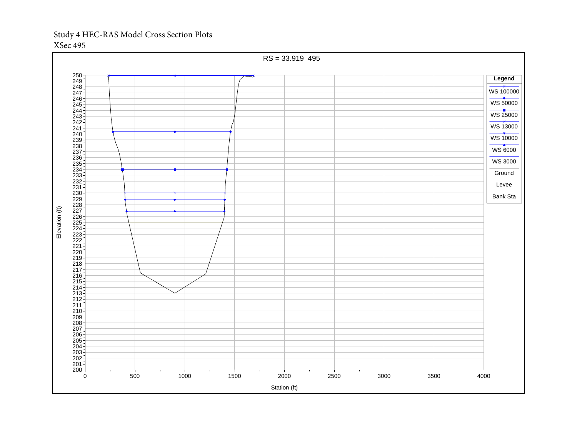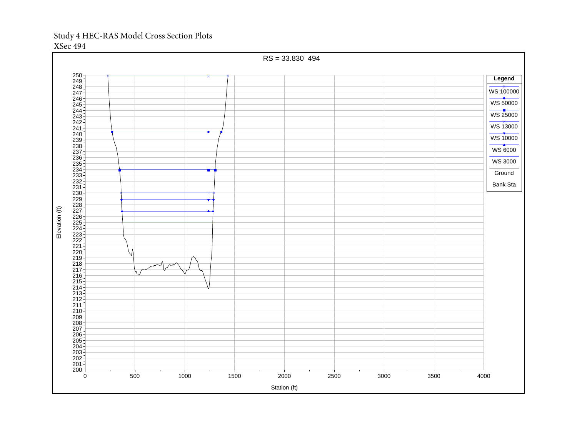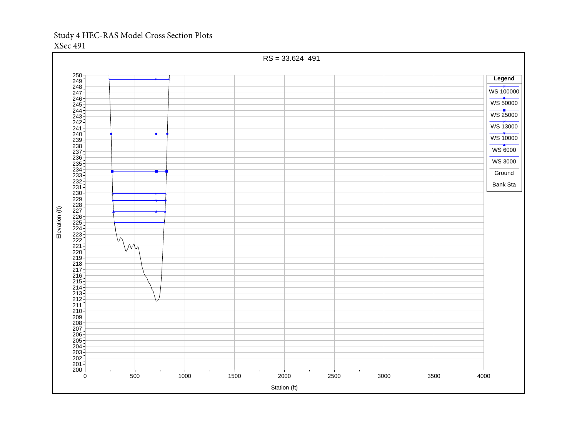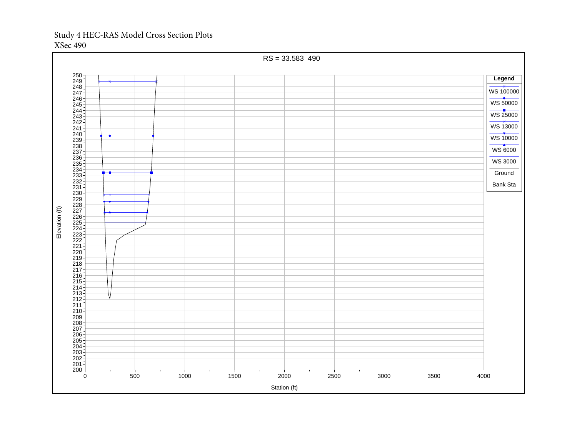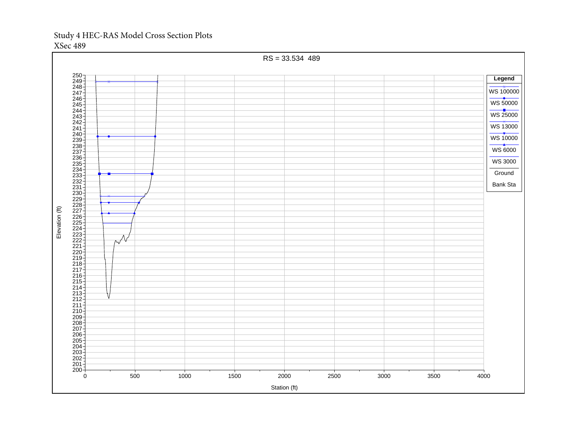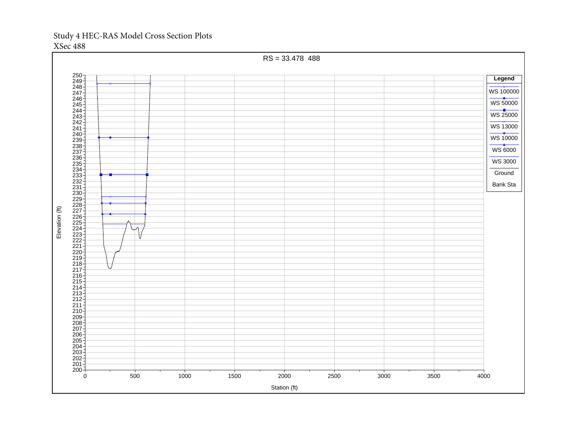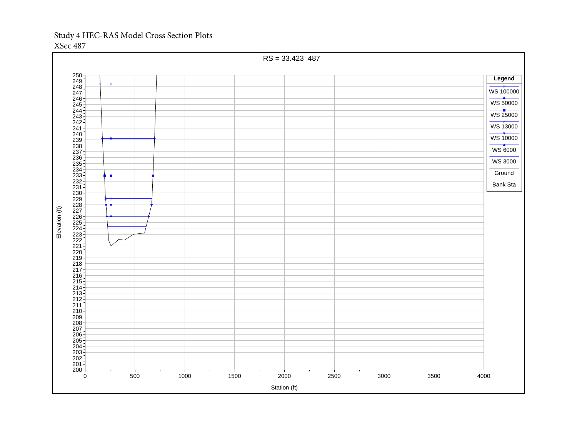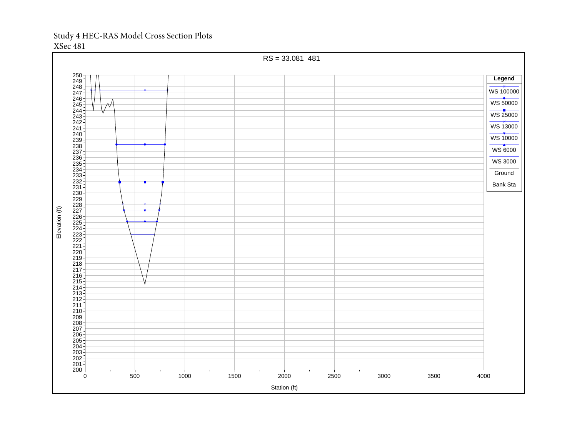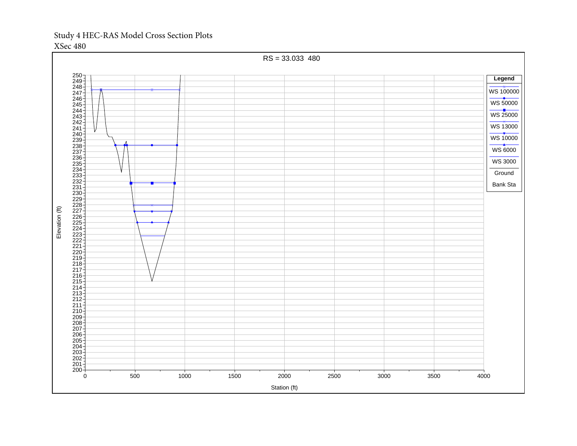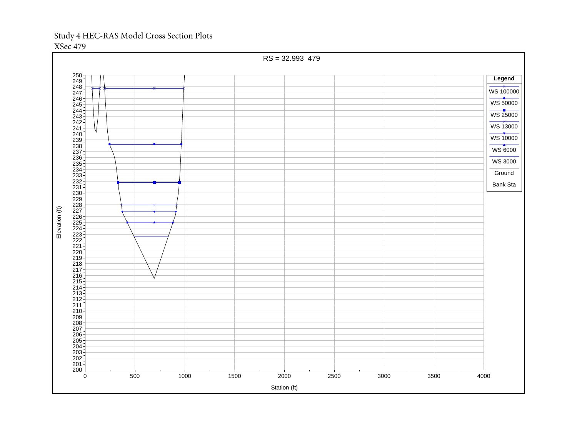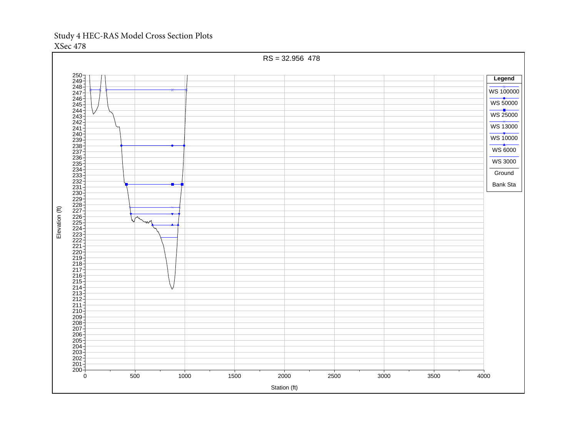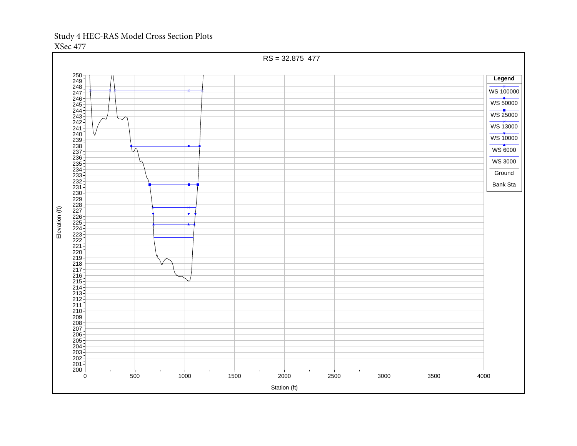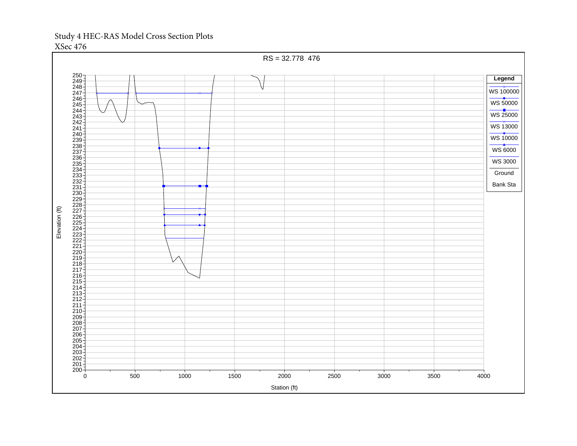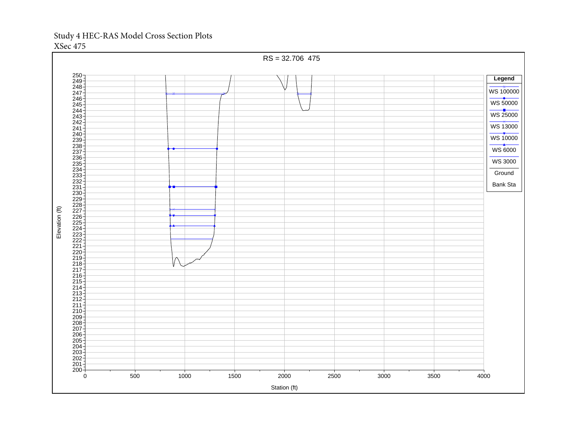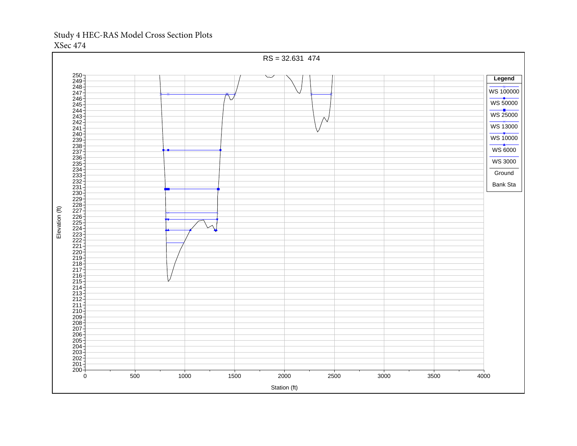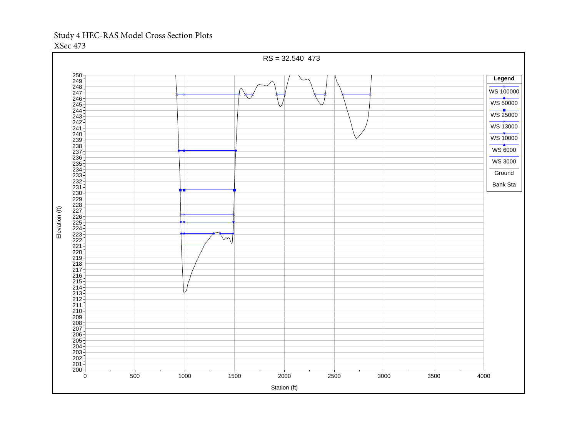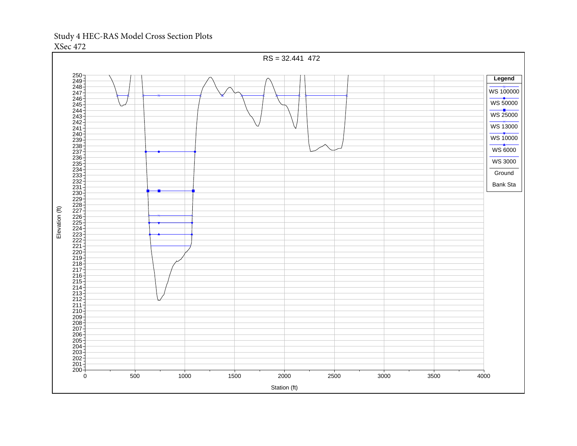

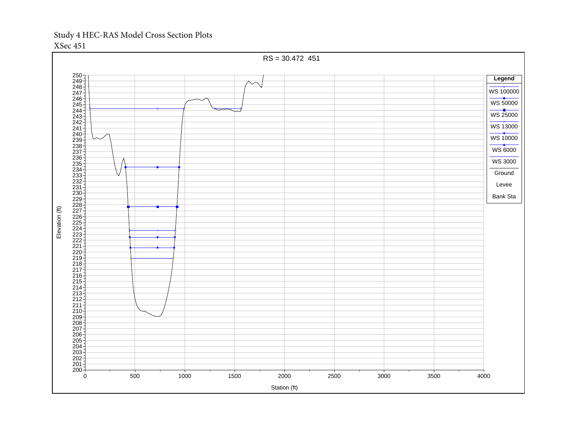

XSec 451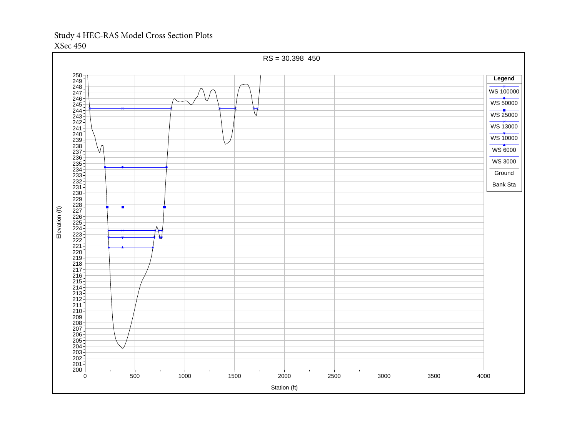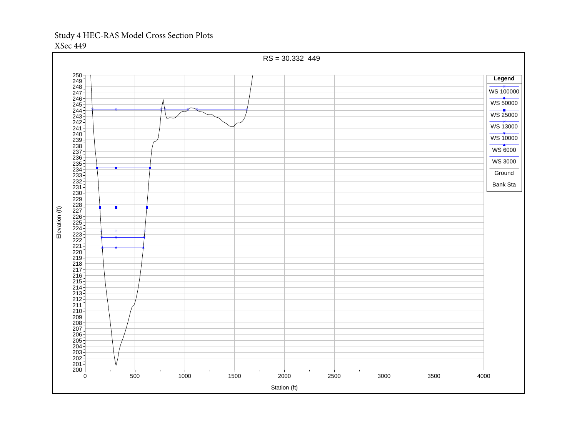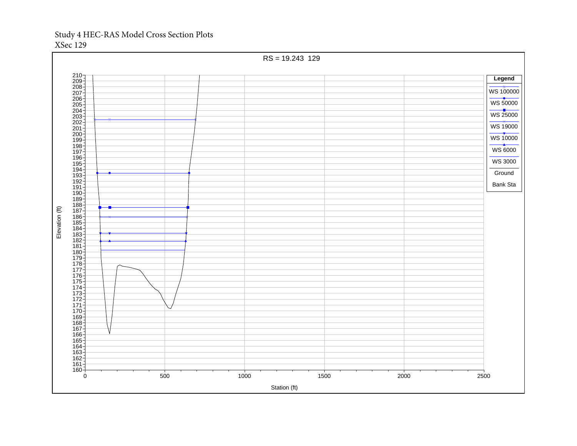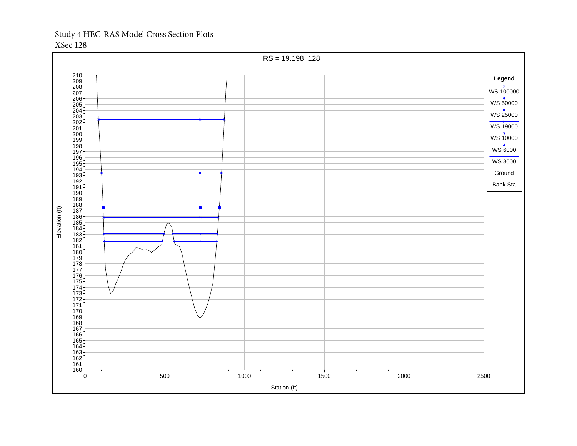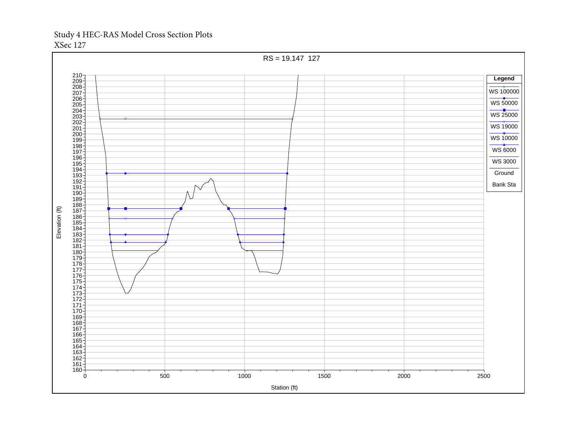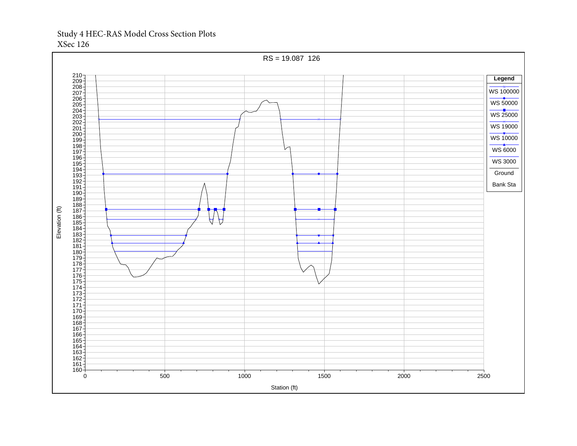## Study 4 HEC-RAS Model Cross Section Plots XSec 126

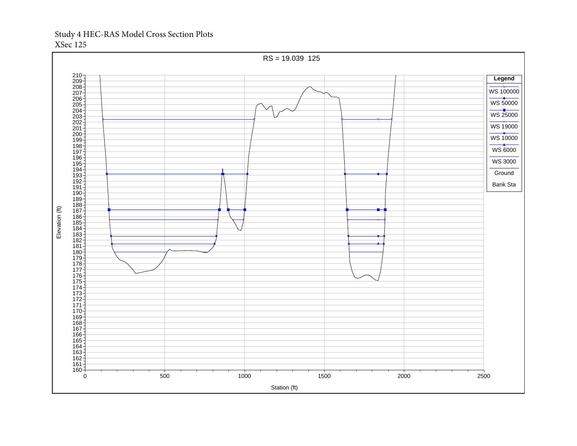## Study 4 HEC-RAS Model Cross Section Plots XSec 125